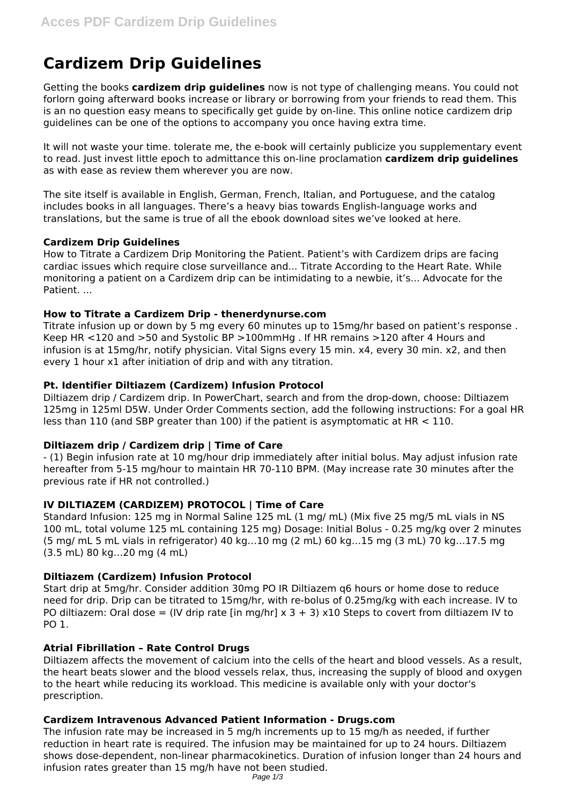# **Cardizem Drip Guidelines**

Getting the books **cardizem drip guidelines** now is not type of challenging means. You could not forlorn going afterward books increase or library or borrowing from your friends to read them. This is an no question easy means to specifically get guide by on-line. This online notice cardizem drip guidelines can be one of the options to accompany you once having extra time.

It will not waste your time. tolerate me, the e-book will certainly publicize you supplementary event to read. Just invest little epoch to admittance this on-line proclamation **cardizem drip guidelines** as with ease as review them wherever you are now.

The site itself is available in English, German, French, Italian, and Portuguese, and the catalog includes books in all languages. There's a heavy bias towards English-language works and translations, but the same is true of all the ebook download sites we've looked at here.

# **Cardizem Drip Guidelines**

How to Titrate a Cardizem Drip Monitoring the Patient. Patient's with Cardizem drips are facing cardiac issues which require close surveillance and... Titrate According to the Heart Rate. While monitoring a patient on a Cardizem drip can be intimidating to a newbie, it's... Advocate for the Patient. ...

## **How to Titrate a Cardizem Drip - thenerdynurse.com**

Titrate infusion up or down by 5 mg every 60 minutes up to 15mg/hr based on patient's response . Keep HR <120 and >50 and Systolic BP >100mmHg . If HR remains >120 after 4 Hours and infusion is at 15mg/hr, notify physician. Vital Signs every 15 min. x4, every 30 min. x2, and then every 1 hour x1 after initiation of drip and with any titration.

# **Pt. Identifier Diltiazem (Cardizem) Infusion Protocol**

Diltiazem drip / Cardizem drip. In PowerChart, search and from the drop-down, choose: Diltiazem 125mg in 125ml D5W. Under Order Comments section, add the following instructions: For a goal HR less than 110 (and SBP greater than 100) if the patient is asymptomatic at HR < 110.

# **Diltiazem drip / Cardizem drip | Time of Care**

- (1) Begin infusion rate at 10 mg/hour drip immediately after initial bolus. May adjust infusion rate hereafter from 5-15 mg/hour to maintain HR 70-110 BPM. (May increase rate 30 minutes after the previous rate if HR not controlled.)

# **IV DILTIAZEM (CARDIZEM) PROTOCOL | Time of Care**

Standard Infusion: 125 mg in Normal Saline 125 mL (1 mg/ mL) (Mix five 25 mg/5 mL vials in NS 100 mL, total volume 125 mL containing 125 mg) Dosage: Initial Bolus - 0.25 mg/kg over 2 minutes (5 mg/ mL 5 mL vials in refrigerator) 40 kg…10 mg (2 mL) 60 kg…15 mg (3 mL) 70 kg…17.5 mg (3.5 mL) 80 kg…20 mg (4 mL)

# **Diltiazem (Cardizem) Infusion Protocol**

Start drip at 5mg/hr. Consider addition 30mg PO IR Diltiazem q6 hours or home dose to reduce need for drip. Drip can be titrated to 15mg/hr, with re-bolus of 0.25mg/kg with each increase. IV to PO diltiazem: Oral dose = (IV drip rate [in mg/hr]  $\times$  3 + 3)  $\times$ 10 Steps to covert from diltiazem IV to PO 1.

# **Atrial Fibrillation – Rate Control Drugs**

Diltiazem affects the movement of calcium into the cells of the heart and blood vessels. As a result, the heart beats slower and the blood vessels relax, thus, increasing the supply of blood and oxygen to the heart while reducing its workload. This medicine is available only with your doctor's prescription.

# **Cardizem Intravenous Advanced Patient Information - Drugs.com**

The infusion rate may be increased in 5 mg/h increments up to 15 mg/h as needed, if further reduction in heart rate is required. The infusion may be maintained for up to 24 hours. Diltiazem shows dose-dependent, non-linear pharmacokinetics. Duration of infusion longer than 24 hours and infusion rates greater than 15 mg/h have not been studied.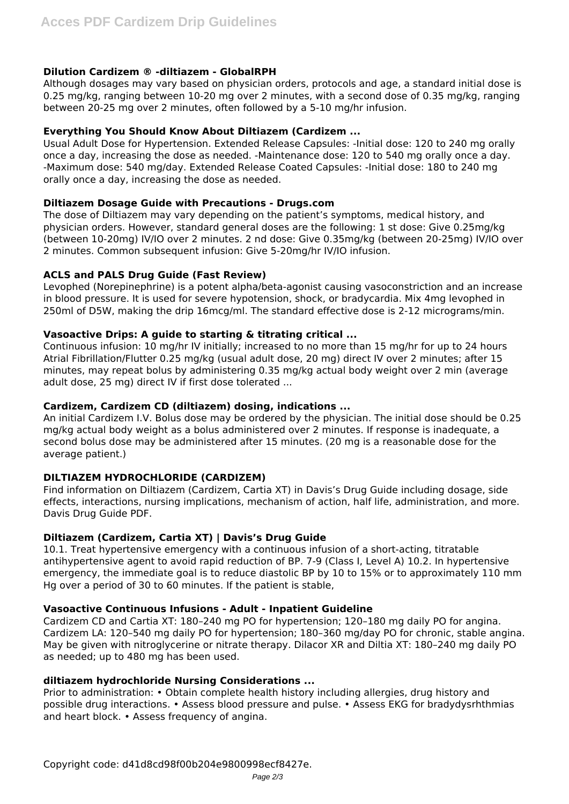## **Dilution Cardizem ® -diltiazem - GlobalRPH**

Although dosages may vary based on physician orders, protocols and age, a standard initial dose is 0.25 mg/kg, ranging between 10-20 mg over 2 minutes, with a second dose of 0.35 mg/kg, ranging between 20-25 mg over 2 minutes, often followed by a 5-10 mg/hr infusion.

#### **Everything You Should Know About Diltiazem (Cardizem ...**

Usual Adult Dose for Hypertension. Extended Release Capsules: -Initial dose: 120 to 240 mg orally once a day, increasing the dose as needed. -Maintenance dose: 120 to 540 mg orally once a day. -Maximum dose: 540 mg/day. Extended Release Coated Capsules: -Initial dose: 180 to 240 mg orally once a day, increasing the dose as needed.

## **Diltiazem Dosage Guide with Precautions - Drugs.com**

The dose of Diltiazem may vary depending on the patient's symptoms, medical history, and physician orders. However, standard general doses are the following: 1 st dose: Give 0.25mg/kg (between 10-20mg) IV/IO over 2 minutes. 2 nd dose: Give 0.35mg/kg (between 20-25mg) IV/IO over 2 minutes. Common subsequent infusion: Give 5-20mg/hr IV/IO infusion.

## **ACLS and PALS Drug Guide (Fast Review)**

Levophed (Norepinephrine) is a potent alpha/beta-agonist causing vasoconstriction and an increase in blood pressure. It is used for severe hypotension, shock, or bradycardia. Mix 4mg levophed in 250ml of D5W, making the drip 16mcg/ml. The standard effective dose is 2-12 micrograms/min.

## **Vasoactive Drips: A guide to starting & titrating critical ...**

Continuous infusion: 10 mg/hr IV initially; increased to no more than 15 mg/hr for up to 24 hours Atrial Fibrillation/Flutter 0.25 mg/kg (usual adult dose, 20 mg) direct IV over 2 minutes; after 15 minutes, may repeat bolus by administering 0.35 mg/kg actual body weight over 2 min (average adult dose, 25 mg) direct IV if first dose tolerated ...

#### **Cardizem, Cardizem CD (diltiazem) dosing, indications ...**

An initial Cardizem I.V. Bolus dose may be ordered by the physician. The initial dose should be 0.25 mg/kg actual body weight as a bolus administered over 2 minutes. If response is inadequate, a second bolus dose may be administered after 15 minutes. (20 mg is a reasonable dose for the average patient.)

# **DILTIAZEM HYDROCHLORIDE (CARDIZEM)**

Find information on Diltiazem (Cardizem, Cartia XT) in Davis's Drug Guide including dosage, side effects, interactions, nursing implications, mechanism of action, half life, administration, and more. Davis Drug Guide PDF.

## **Diltiazem (Cardizem, Cartia XT) | Davis's Drug Guide**

10.1. Treat hypertensive emergency with a continuous infusion of a short-acting, titratable antihypertensive agent to avoid rapid reduction of BP. 7-9 (Class I, Level A) 10.2. In hypertensive emergency, the immediate goal is to reduce diastolic BP by 10 to 15% or to approximately 110 mm Hg over a period of 30 to 60 minutes. If the patient is stable,

#### **Vasoactive Continuous Infusions - Adult - Inpatient Guideline**

Cardizem CD and Cartia XT: 180–240 mg PO for hypertension; 120–180 mg daily PO for angina. Cardizem LA: 120–540 mg daily PO for hypertension; 180–360 mg/day PO for chronic, stable angina. May be given with nitroglycerine or nitrate therapy. Dilacor XR and Diltia XT: 180–240 mg daily PO as needed; up to 480 mg has been used.

# **diltiazem hydrochloride Nursing Considerations ...**

Prior to administration: • Obtain complete health history including allergies, drug history and possible drug interactions. • Assess blood pressure and pulse. • Assess EKG for bradydysrhthmias and heart block. • Assess frequency of angina.